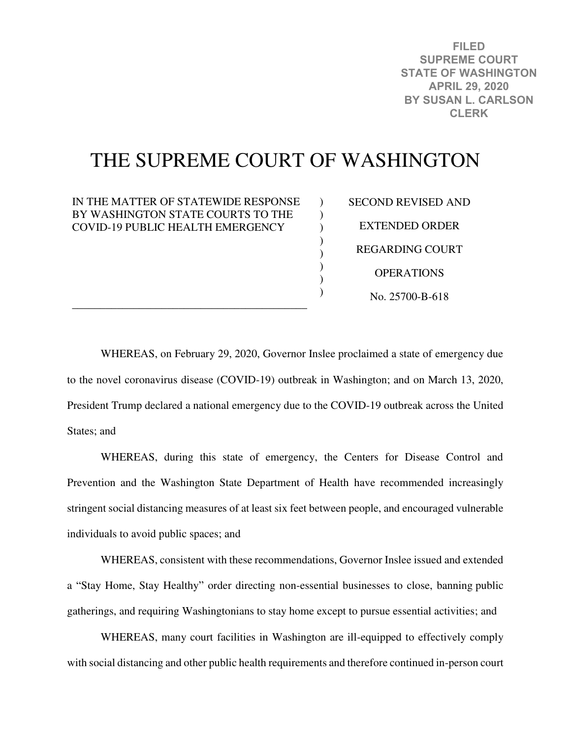**FILED SUPREME COURT STATE OF WASHINGTON APRIL 29, 2020 BY SUSAN L. CARLSON CLERK**

# THE SUPREME COURT OF WASHINGTON

 $\lambda$  $\mathcal{L}$  $\mathcal{L}$ ) ) ) ) )

IN THE MATTER OF STATEWIDE RESPONSE BY WASHINGTON STATE COURTS TO THE COVID-19 PUBLIC HEALTH EMERGENCY

\_\_\_\_\_\_\_\_\_\_\_\_\_\_\_\_\_\_\_\_\_\_\_\_\_\_\_\_\_\_\_\_\_\_\_\_\_\_\_\_\_\_

SECOND REVISED AND EXTENDED ORDER REGARDING COURT **OPERATIONS** No. 25700-B-618

WHEREAS, on February 29, 2020, Governor Inslee proclaimed a state of emergency due to the novel coronavirus disease (COVID-19) outbreak in Washington; and on March 13, 2020, President Trump declared a national emergency due to the COVID-19 outbreak across the United States; and

WHEREAS, during this state of emergency, the Centers for Disease Control and Prevention and the Washington State Department of Health have recommended increasingly stringent social distancing measures of at least six feet between people, and encouraged vulnerable individuals to avoid public spaces; and

WHEREAS, consistent with these recommendations, Governor Inslee issued and extended a "Stay Home, Stay Healthy" order directing non-essential businesses to close, banning public gatherings, and requiring Washingtonians to stay home except to pursue essential activities; and

WHEREAS, many court facilities in Washington are ill-equipped to effectively comply with social distancing and other public health requirements and therefore continued in-person court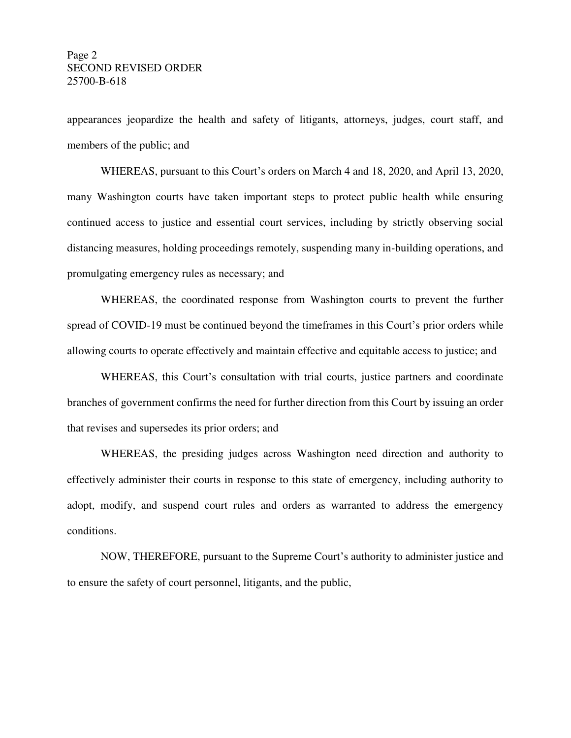appearances jeopardize the health and safety of litigants, attorneys, judges, court staff, and members of the public; and

WHEREAS, pursuant to this Court's orders on March 4 and 18, 2020, and April 13, 2020, many Washington courts have taken important steps to protect public health while ensuring continued access to justice and essential court services, including by strictly observing social distancing measures, holding proceedings remotely, suspending many in-building operations, and promulgating emergency rules as necessary; and

WHEREAS, the coordinated response from Washington courts to prevent the further spread of COVID-19 must be continued beyond the timeframes in this Court's prior orders while allowing courts to operate effectively and maintain effective and equitable access to justice; and

WHEREAS, this Court's consultation with trial courts, justice partners and coordinate branches of government confirms the need for further direction from this Court by issuing an order that revises and supersedes its prior orders; and

WHEREAS, the presiding judges across Washington need direction and authority to effectively administer their courts in response to this state of emergency, including authority to adopt, modify, and suspend court rules and orders as warranted to address the emergency conditions.

NOW, THEREFORE, pursuant to the Supreme Court's authority to administer justice and to ensure the safety of court personnel, litigants, and the public,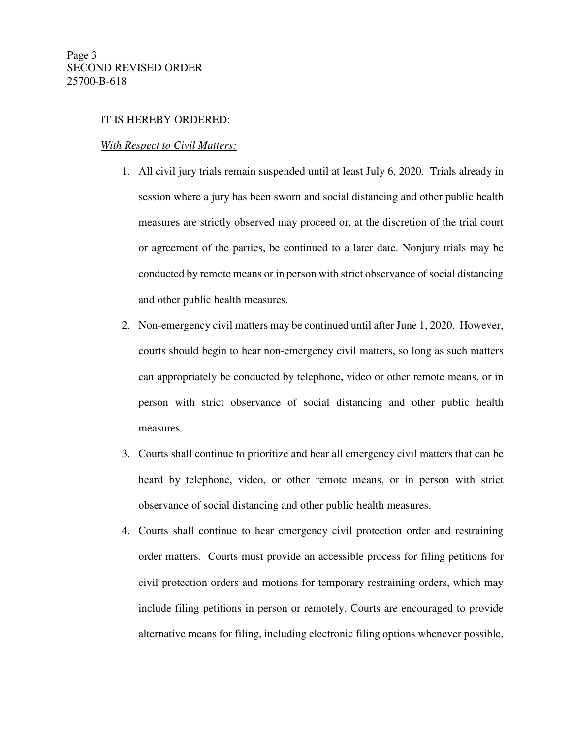### IT IS HEREBY ORDERED:

#### *With Respect to Civil Matters:*

- 1. All civil jury trials remain suspended until at least July 6, 2020. Trials already in session where a jury has been sworn and social distancing and other public health measures are strictly observed may proceed or, at the discretion of the trial court or agreement of the parties, be continued to a later date. Nonjury trials may be conducted by remote means or in person with strict observance of social distancing and other public health measures.
- 2. Non-emergency civil matters may be continued until after June 1, 2020. However, courts should begin to hear non-emergency civil matters, so long as such matters can appropriately be conducted by telephone, video or other remote means, or in person with strict observance of social distancing and other public health measures.
- 3. Courts shall continue to prioritize and hear all emergency civil matters that can be heard by telephone, video, or other remote means, or in person with strict observance of social distancing and other public health measures.
- 4. Courts shall continue to hear emergency civil protection order and restraining order matters. Courts must provide an accessible process for filing petitions for civil protection orders and motions for temporary restraining orders, which may include filing petitions in person or remotely. Courts are encouraged to provide alternative means for filing, including electronic filing options whenever possible,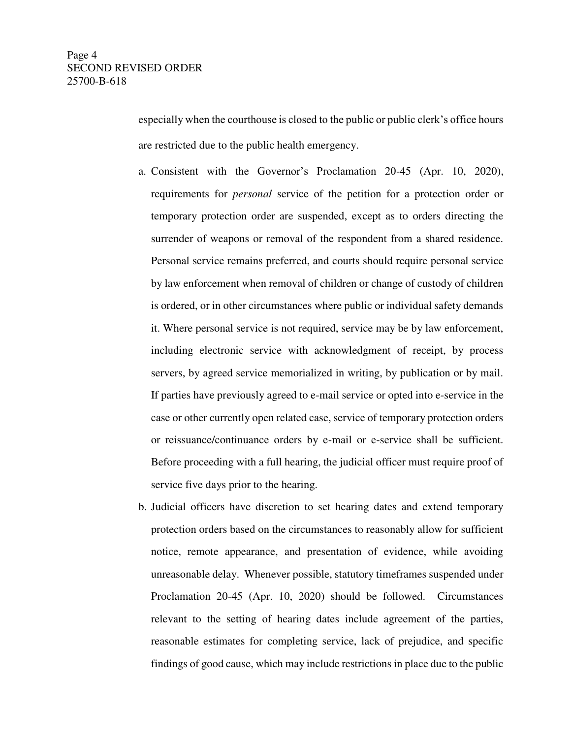especially when the courthouse is closed to the public or public clerk's office hours are restricted due to the public health emergency.

- a. Consistent with the Governor's Proclamation 20-45 (Apr. 10, 2020), requirements for *personal* service of the petition for a protection order or temporary protection order are suspended, except as to orders directing the surrender of weapons or removal of the respondent from a shared residence. Personal service remains preferred, and courts should require personal service by law enforcement when removal of children or change of custody of children is ordered, or in other circumstances where public or individual safety demands it. Where personal service is not required, service may be by law enforcement, including electronic service with acknowledgment of receipt, by process servers, by agreed service memorialized in writing, by publication or by mail. If parties have previously agreed to e-mail service or opted into e-service in the case or other currently open related case, service of temporary protection orders or reissuance/continuance orders by e-mail or e-service shall be sufficient. Before proceeding with a full hearing, the judicial officer must require proof of service five days prior to the hearing.
- b. Judicial officers have discretion to set hearing dates and extend temporary protection orders based on the circumstances to reasonably allow for sufficient notice, remote appearance, and presentation of evidence, while avoiding unreasonable delay. Whenever possible, statutory timeframes suspended under Proclamation 20-45 (Apr. 10, 2020) should be followed. Circumstances relevant to the setting of hearing dates include agreement of the parties, reasonable estimates for completing service, lack of prejudice, and specific findings of good cause, which may include restrictions in place due to the public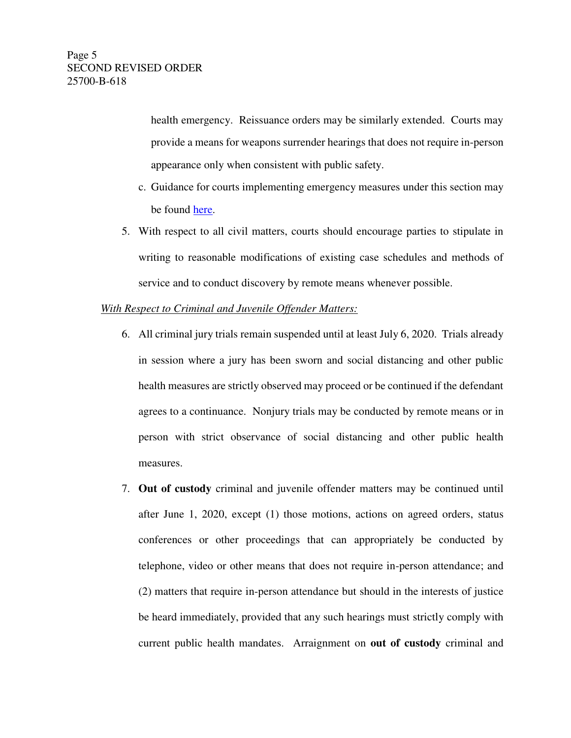health emergency. Reissuance orders may be similarly extended. Courts may provide a means for weapons surrender hearings that does not require in-person appearance only when consistent with public safety.

- c. Guidance for courts implementing emergency measures under this section may be found [here.](http://www.courts.wa.gov/content/publicUpload/Protection%20Order%20Resources/Resources%20for%20Implementation%20of%20Emergency%20Order%20Regarding%20Protection%20Orders%20and%20Guardianships.pdf)
- 5. With respect to all civil matters, courts should encourage parties to stipulate in writing to reasonable modifications of existing case schedules and methods of service and to conduct discovery by remote means whenever possible.

# *With Respect to Criminal and Juvenile Offender Matters:*

- 6. All criminal jury trials remain suspended until at least July 6, 2020. Trials already in session where a jury has been sworn and social distancing and other public health measures are strictly observed may proceed or be continued if the defendant agrees to a continuance. Nonjury trials may be conducted by remote means or in person with strict observance of social distancing and other public health measures.
- 7. **Out of custody** criminal and juvenile offender matters may be continued until after June 1, 2020, except (1) those motions, actions on agreed orders, status conferences or other proceedings that can appropriately be conducted by telephone, video or other means that does not require in-person attendance; and (2) matters that require in-person attendance but should in the interests of justice be heard immediately, provided that any such hearings must strictly comply with current public health mandates. Arraignment on **out of custody** criminal and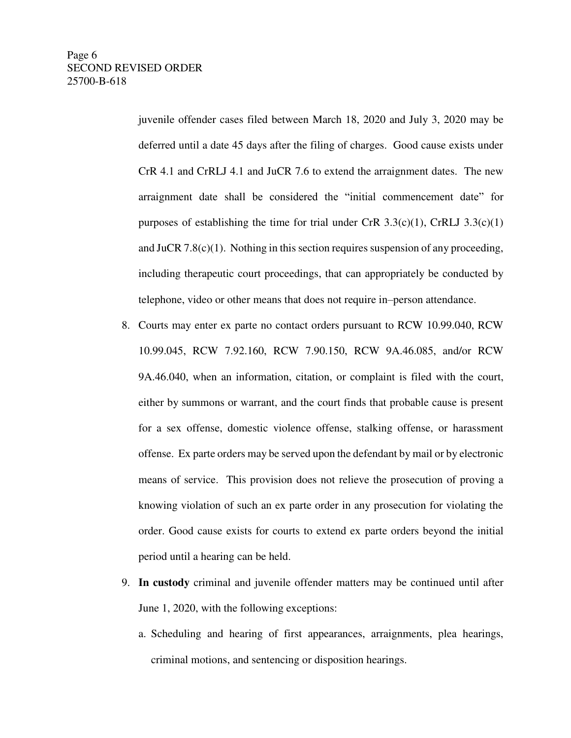juvenile offender cases filed between March 18, 2020 and July 3, 2020 may be deferred until a date 45 days after the filing of charges. Good cause exists under CrR 4.1 and CrRLJ 4.1 and JuCR 7.6 to extend the arraignment dates. The new arraignment date shall be considered the "initial commencement date" for purposes of establishing the time for trial under CrR  $3.3(c)(1)$ , CrRLJ  $3.3(c)(1)$ and JuCR 7.8(c)(1). Nothing in this section requires suspension of any proceeding, including therapeutic court proceedings, that can appropriately be conducted by telephone, video or other means that does not require in–person attendance.

- 8. Courts may enter ex parte no contact orders pursuant to RCW 10.99.040, RCW 10.99.045, RCW 7.92.160, RCW 7.90.150, RCW 9A.46.085, and/or RCW 9A.46.040, when an information, citation, or complaint is filed with the court, either by summons or warrant, and the court finds that probable cause is present for a sex offense, domestic violence offense, stalking offense, or harassment offense. Ex parte orders may be served upon the defendant by mail or by electronic means of service. This provision does not relieve the prosecution of proving a knowing violation of such an ex parte order in any prosecution for violating the order. Good cause exists for courts to extend ex parte orders beyond the initial period until a hearing can be held.
- 9. **In custody** criminal and juvenile offender matters may be continued until after June 1, 2020, with the following exceptions:
	- a. Scheduling and hearing of first appearances, arraignments, plea hearings, criminal motions, and sentencing or disposition hearings.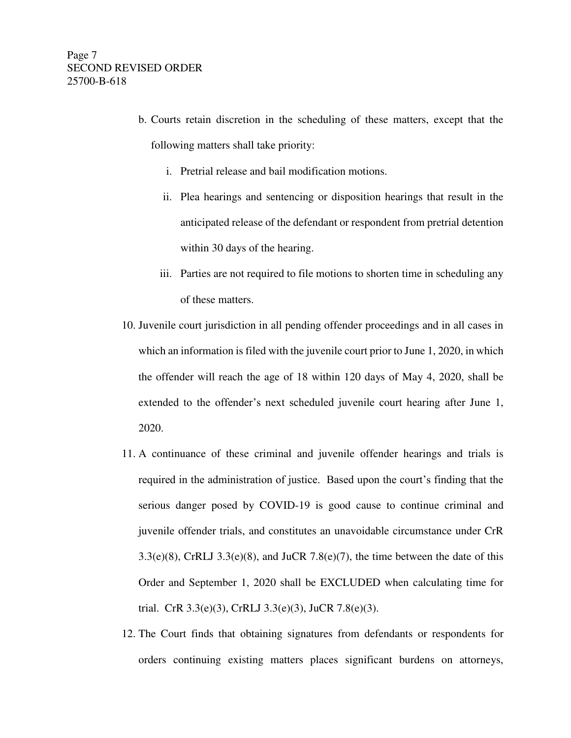- b. Courts retain discretion in the scheduling of these matters, except that the following matters shall take priority:
	- i. Pretrial release and bail modification motions.
	- ii. Plea hearings and sentencing or disposition hearings that result in the anticipated release of the defendant or respondent from pretrial detention within 30 days of the hearing.
	- iii. Parties are not required to file motions to shorten time in scheduling any of these matters.
- 10. Juvenile court jurisdiction in all pending offender proceedings and in all cases in which an information is filed with the juvenile court prior to June 1, 2020, in which the offender will reach the age of 18 within 120 days of May 4, 2020, shall be extended to the offender's next scheduled juvenile court hearing after June 1, 2020.
- 11. A continuance of these criminal and juvenile offender hearings and trials is required in the administration of justice. Based upon the court's finding that the serious danger posed by COVID-19 is good cause to continue criminal and juvenile offender trials, and constitutes an unavoidable circumstance under CrR  $3.3(e)(8)$ , CrRLJ  $3.3(e)(8)$ , and JuCR  $7.8(e)(7)$ , the time between the date of this Order and September 1, 2020 shall be EXCLUDED when calculating time for trial. CrR 3.3(e)(3), CrRLJ 3.3(e)(3), JuCR 7.8(e)(3).
- 12. The Court finds that obtaining signatures from defendants or respondents for orders continuing existing matters places significant burdens on attorneys,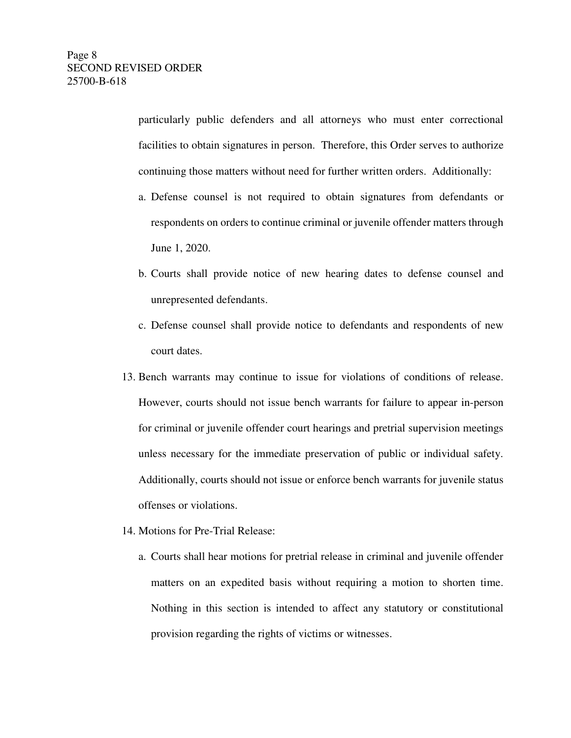particularly public defenders and all attorneys who must enter correctional facilities to obtain signatures in person. Therefore, this Order serves to authorize continuing those matters without need for further written orders. Additionally:

- a. Defense counsel is not required to obtain signatures from defendants or respondents on orders to continue criminal or juvenile offender matters through June 1, 2020.
- b. Courts shall provide notice of new hearing dates to defense counsel and unrepresented defendants.
- c. Defense counsel shall provide notice to defendants and respondents of new court dates.
- 13. Bench warrants may continue to issue for violations of conditions of release. However, courts should not issue bench warrants for failure to appear in-person for criminal or juvenile offender court hearings and pretrial supervision meetings unless necessary for the immediate preservation of public or individual safety. Additionally, courts should not issue or enforce bench warrants for juvenile status offenses or violations.
- 14. Motions for Pre-Trial Release:
	- a. Courts shall hear motions for pretrial release in criminal and juvenile offender matters on an expedited basis without requiring a motion to shorten time. Nothing in this section is intended to affect any statutory or constitutional provision regarding the rights of victims or witnesses.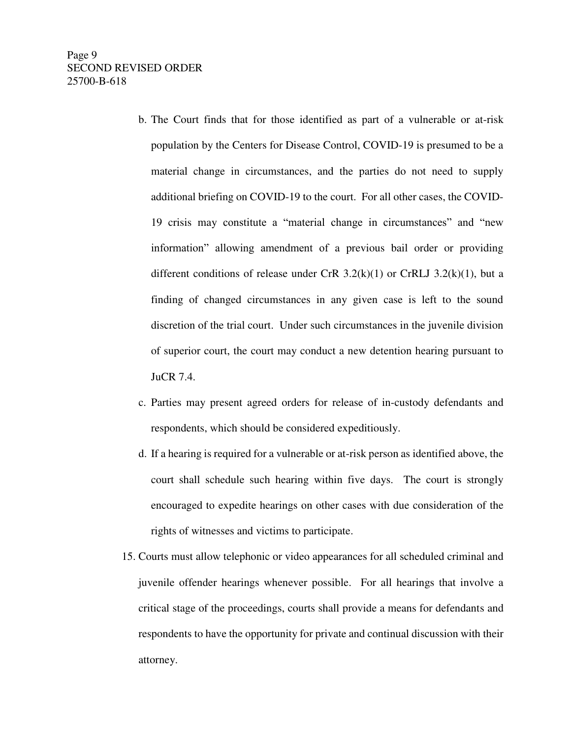- b. The Court finds that for those identified as part of a vulnerable or at-risk population by the Centers for Disease Control, COVID-19 is presumed to be a material change in circumstances, and the parties do not need to supply additional briefing on COVID-19 to the court. For all other cases, the COVID-19 crisis may constitute a "material change in circumstances" and "new information" allowing amendment of a previous bail order or providing different conditions of release under CrR  $3.2(k)(1)$  or CrRLJ  $3.2(k)(1)$ , but a finding of changed circumstances in any given case is left to the sound discretion of the trial court. Under such circumstances in the juvenile division of superior court, the court may conduct a new detention hearing pursuant to JuCR 7.4.
- c. Parties may present agreed orders for release of in-custody defendants and respondents, which should be considered expeditiously.
- d. If a hearing is required for a vulnerable or at-risk person as identified above, the court shall schedule such hearing within five days. The court is strongly encouraged to expedite hearings on other cases with due consideration of the rights of witnesses and victims to participate.
- 15. Courts must allow telephonic or video appearances for all scheduled criminal and juvenile offender hearings whenever possible. For all hearings that involve a critical stage of the proceedings, courts shall provide a means for defendants and respondents to have the opportunity for private and continual discussion with their attorney.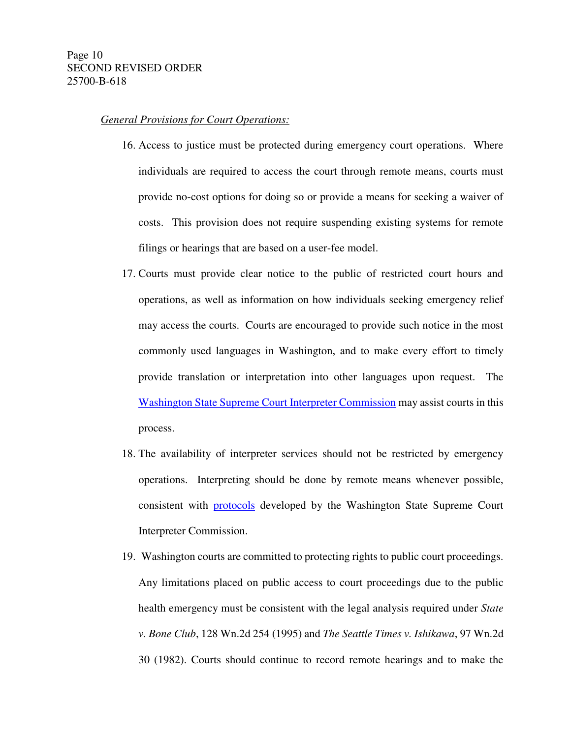## *General Provisions for Court Operations:*

- 16. Access to justice must be protected during emergency court operations. Where individuals are required to access the court through remote means, courts must provide no-cost options for doing so or provide a means for seeking a waiver of costs. This provision does not require suspending existing systems for remote filings or hearings that are based on a user-fee model.
- 17. Courts must provide clear notice to the public of restricted court hours and operations, as well as information on how individuals seeking emergency relief may access the courts. Courts are encouraged to provide such notice in the most commonly used languages in Washington, and to make every effort to timely provide translation or interpretation into other languages upon request. The [Washington State Supreme Court Interpreter Commission](https://www.courts.wa.gov/interpreters/COVID-19) may assist courts in this process.
- 18. The availability of interpreter services should not be restricted by emergency operations. Interpreting should be done by remote means whenever possible, consistent with [protocols](https://www.courts.wa.gov/interpreters/COVID-19) developed by the Washington State Supreme Court Interpreter Commission.
- 19. Washington courts are committed to protecting rights to public court proceedings. Any limitations placed on public access to court proceedings due to the public health emergency must be consistent with the legal analysis required under *State v. Bone Club*, 128 Wn.2d 254 (1995) and *The Seattle Times v. Ishikawa*, 97 Wn.2d 30 (1982). Courts should continue to record remote hearings and to make the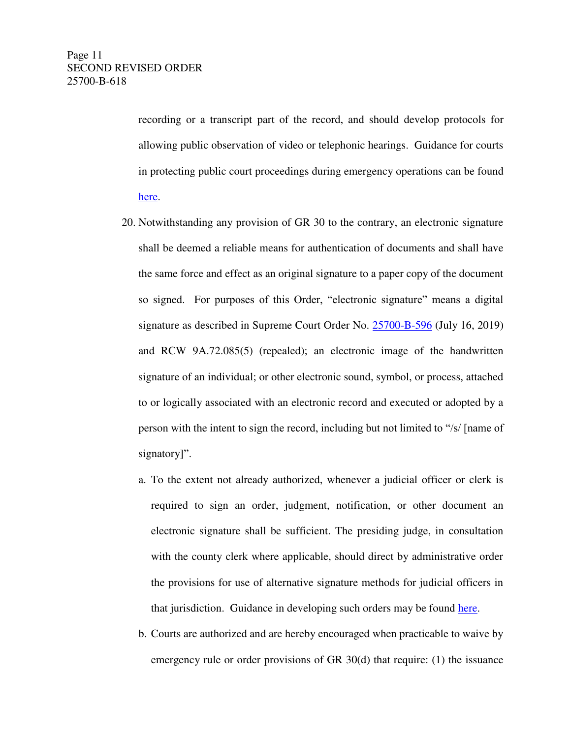recording or a transcript part of the record, and should develop protocols for allowing public observation of video or telephonic hearings. Guidance for courts in protecting public court proceedings during emergency operations can be found [here.](http://www.courts.wa.gov/content/publicUpload/Virtual%20Court/Open%20Courts%20Guidance%20Letter.pdf)

- 20. Notwithstanding any provision of GR 30 to the contrary, an electronic signature shall be deemed a reliable means for authentication of documents and shall have the same force and effect as an original signature to a paper copy of the document so signed. For purposes of this Order, "electronic signature" means a digital signature as described in Supreme Court Order No. [25700-B-596](http://www.courts.wa.gov/appellate_trial_courts/supreme/genOrders/DigitalSignatures.pdf) (July 16, 2019) and RCW 9A.72.085(5) (repealed); an electronic image of the handwritten signature of an individual; or other electronic sound, symbol, or process, attached to or logically associated with an electronic record and executed or adopted by a person with the intent to sign the record, including but not limited to "/s/ [name of signatory]".
	- a. To the extent not already authorized, whenever a judicial officer or clerk is required to sign an order, judgment, notification, or other document an electronic signature shall be sufficient. The presiding judge, in consultation with the county clerk where applicable, should direct by administrative order the provisions for use of alternative signature methods for judicial officers in that jurisdiction. Guidance in developing such orders may be found [here.](http://www.courts.wa.gov/content/publicUpload/Supreme%20Court%20Orders/Alternative%20Signatures%20for%20Judicial%20Officers%202020%2004%2028.pdf)
	- b. Courts are authorized and are hereby encouraged when practicable to waive by emergency rule or order provisions of GR 30(d) that require: (1) the issuance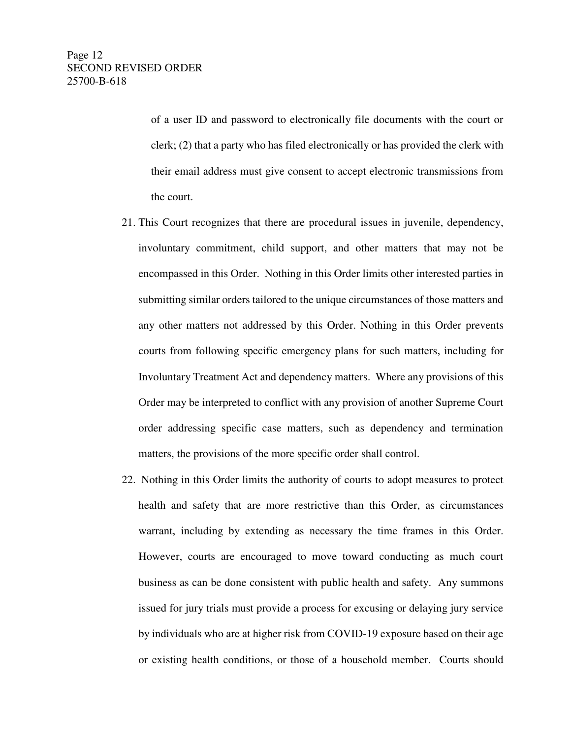of a user ID and password to electronically file documents with the court or clerk; (2) that a party who has filed electronically or has provided the clerk with their email address must give consent to accept electronic transmissions from the court.

- 21. This Court recognizes that there are procedural issues in juvenile, dependency, involuntary commitment, child support, and other matters that may not be encompassed in this Order. Nothing in this Order limits other interested parties in submitting similar orders tailored to the unique circumstances of those matters and any other matters not addressed by this Order. Nothing in this Order prevents courts from following specific emergency plans for such matters, including for Involuntary Treatment Act and dependency matters. Where any provisions of this Order may be interpreted to conflict with any provision of another Supreme Court order addressing specific case matters, such as dependency and termination matters, the provisions of the more specific order shall control.
- 22. Nothing in this Order limits the authority of courts to adopt measures to protect health and safety that are more restrictive than this Order, as circumstances warrant, including by extending as necessary the time frames in this Order. However, courts are encouraged to move toward conducting as much court business as can be done consistent with public health and safety. Any summons issued for jury trials must provide a process for excusing or delaying jury service by individuals who are at higher risk from COVID-19 exposure based on their age or existing health conditions, or those of a household member. Courts should